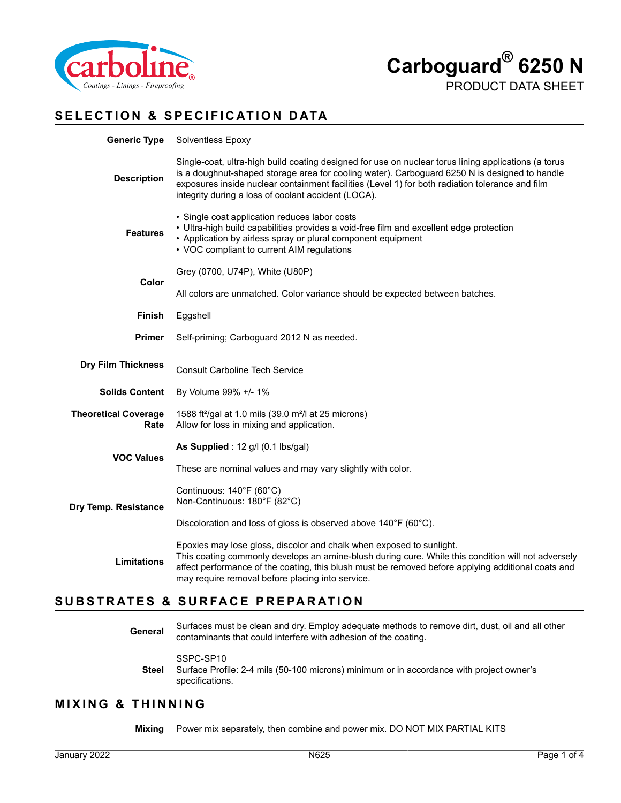

# **SELECTION & SPECIFICATION DATA**

| Generic Type                        | Solventless Epoxy                                                                                                                                                                                                                                                                                                                                               |  |  |
|-------------------------------------|-----------------------------------------------------------------------------------------------------------------------------------------------------------------------------------------------------------------------------------------------------------------------------------------------------------------------------------------------------------------|--|--|
| <b>Description</b>                  | Single-coat, ultra-high build coating designed for use on nuclear torus lining applications (a torus<br>is a doughnut-shaped storage area for cooling water). Carboguard 6250 N is designed to handle<br>exposures inside nuclear containment facilities (Level 1) for both radiation tolerance and film<br>integrity during a loss of coolant accident (LOCA). |  |  |
| <b>Features</b>                     | • Single coat application reduces labor costs<br>• Ultra-high build capabilities provides a void-free film and excellent edge protection<br>• Application by airless spray or plural component equipment<br>• VOC compliant to current AIM regulations                                                                                                          |  |  |
|                                     | Grey (0700, U74P), White (U80P)                                                                                                                                                                                                                                                                                                                                 |  |  |
| Color                               | All colors are unmatched. Color variance should be expected between batches.                                                                                                                                                                                                                                                                                    |  |  |
| Finish                              | Eggshell                                                                                                                                                                                                                                                                                                                                                        |  |  |
| <b>Primer</b>                       | Self-priming; Carboguard 2012 N as needed.                                                                                                                                                                                                                                                                                                                      |  |  |
|                                     |                                                                                                                                                                                                                                                                                                                                                                 |  |  |
| <b>Dry Film Thickness</b>           | <b>Consult Carboline Tech Service</b>                                                                                                                                                                                                                                                                                                                           |  |  |
| <b>Solids Content</b>               | By Volume 99% +/- 1%                                                                                                                                                                                                                                                                                                                                            |  |  |
| <b>Theoretical Coverage</b><br>Rate | 1588 ft <sup>2</sup> /gal at 1.0 mils (39.0 m <sup>2</sup> /l at 25 microns)<br>Allow for loss in mixing and application.                                                                                                                                                                                                                                       |  |  |
|                                     | As Supplied : $12$ g/l (0.1 lbs/gal)                                                                                                                                                                                                                                                                                                                            |  |  |
| <b>VOC Values</b>                   | These are nominal values and may vary slightly with color.                                                                                                                                                                                                                                                                                                      |  |  |
| Dry Temp. Resistance                | Continuous: 140°F (60°C)<br>Non-Continuous: 180°F (82°C)                                                                                                                                                                                                                                                                                                        |  |  |
|                                     | Discoloration and loss of gloss is observed above 140°F (60°C).                                                                                                                                                                                                                                                                                                 |  |  |
| <b>Limitations</b>                  | Epoxies may lose gloss, discolor and chalk when exposed to sunlight.<br>This coating commonly develops an amine-blush during cure. While this condition will not adversely<br>affect performance of the coating, this blush must be removed before applying additional coats and<br>may require removal before placing into service.                            |  |  |

# **SUBSTRATES & SURFACE PREPARATION**

**General** Surfaces must be clean and dry. Employ adequate methods to remove dirt, dust, oil and all other contaminants that could interfere with adhesion of the coating. **Steel** SSPC-SP10 Surface Profile: 2-4 mils (50-100 microns) minimum or in accordance with project owner's specifications.

#### **MIXING & THINNING**

**Mixing** | Power mix separately, then combine and power mix. DO NOT MIX PARTIAL KITS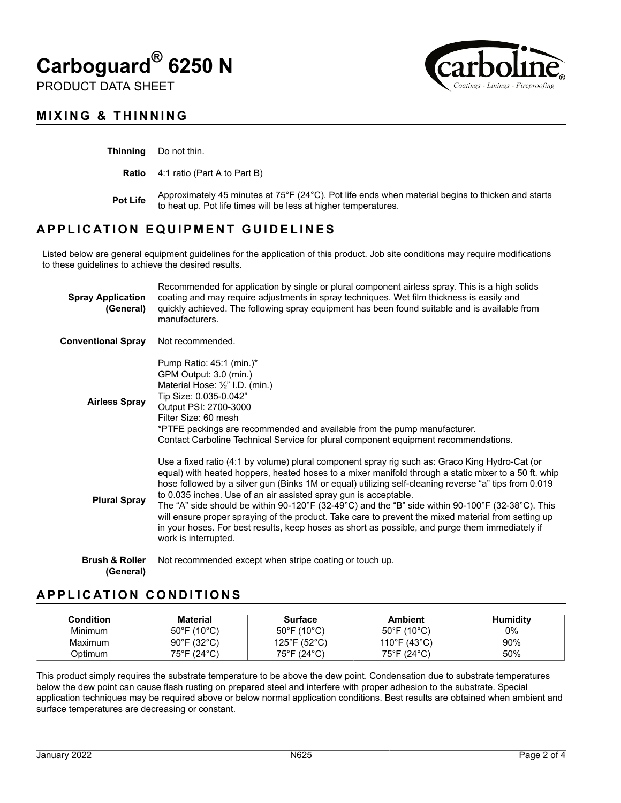# **Carboguard® 6250 N**

PRODUCT DATA SHEET





**Thinning** | Do not thin.

**Ratio** | 4:1 ratio (Part A to Part B)

**Pot Life** Approximately 45 minutes at 75°F (24°C). Pot life ends when material begins to thicken and starts **Protential** to heat up. Pot life times will be less at higher temperatures.

# **APPLICATION EQUIPMENT GUIDELINES**

Listed below are general equipment guidelines for the application of this product. Job site conditions may require modifications to these guidelines to achieve the desired results.

| <b>Spray Application</b><br>(General)  | Recommended for application by single or plural component airless spray. This is a high solids<br>coating and may require adjustments in spray techniques. Wet film thickness is easily and<br>quickly achieved. The following spray equipment has been found suitable and is available from<br>manufacturers.                                                                                                                                                                                                                                                                                                                                                                                                             |
|----------------------------------------|----------------------------------------------------------------------------------------------------------------------------------------------------------------------------------------------------------------------------------------------------------------------------------------------------------------------------------------------------------------------------------------------------------------------------------------------------------------------------------------------------------------------------------------------------------------------------------------------------------------------------------------------------------------------------------------------------------------------------|
| Conventional Spray                     | Not recommended.                                                                                                                                                                                                                                                                                                                                                                                                                                                                                                                                                                                                                                                                                                           |
| <b>Airless Spray</b>                   | Pump Ratio: 45:1 (min.)*<br>GPM Output: 3.0 (min.)<br>Material Hose: 1/2" I.D. (min.)<br>Tip Size: 0.035-0.042"<br>Output PSI: 2700-3000<br>Filter Size: 60 mesh<br>*PTFE packings are recommended and available from the pump manufacturer.<br>Contact Carboline Technical Service for plural component equipment recommendations.                                                                                                                                                                                                                                                                                                                                                                                        |
| <b>Plural Spray</b>                    | Use a fixed ratio (4:1 by volume) plural component spray rig such as: Graco King Hydro-Cat (or<br>equal) with heated hoppers, heated hoses to a mixer manifold through a static mixer to a 50 ft. whip<br>hose followed by a silver gun (Binks 1M or equal) utilizing self-cleaning reverse "a" tips from 0.019<br>to 0.035 inches. Use of an air assisted spray gun is acceptable.<br>The "A" side should be within 90-120°F (32-49°C) and the "B" side within 90-100°F (32-38°C). This<br>will ensure proper spraying of the product. Take care to prevent the mixed material from setting up<br>in your hoses. For best results, keep hoses as short as possible, and purge them immediately if<br>work is interrupted. |
| <b>Brush &amp; Roller</b><br>(General) | Not recommended except when stripe coating or touch up.                                                                                                                                                                                                                                                                                                                                                                                                                                                                                                                                                                                                                                                                    |

# **APPLICATION CONDITIONS**

| Condition | <b>Material</b>                  | Surface                          | <b>Ambient</b>                   | <b>Humidity</b> |
|-----------|----------------------------------|----------------------------------|----------------------------------|-----------------|
| Minimum   | $50^{\circ}$ F (10 $^{\circ}$ C) | $50^{\circ}$ F (10 $^{\circ}$ C) | $50^{\circ}$ F (10 $^{\circ}$ C) | 0%              |
| Maximum   | $90^{\circ}$ F (32 $^{\circ}$ C) | 125°F (52°C)                     | 110°F (43°C).                    | 90%             |
| )ptimum   | 75°F (24°C)                      | 75°F (24°C)                      | 75°F (24°C)                      | 50%             |

This product simply requires the substrate temperature to be above the dew point. Condensation due to substrate temperatures below the dew point can cause flash rusting on prepared steel and interfere with proper adhesion to the substrate. Special application techniques may be required above or below normal application conditions. Best results are obtained when ambient and surface temperatures are decreasing or constant.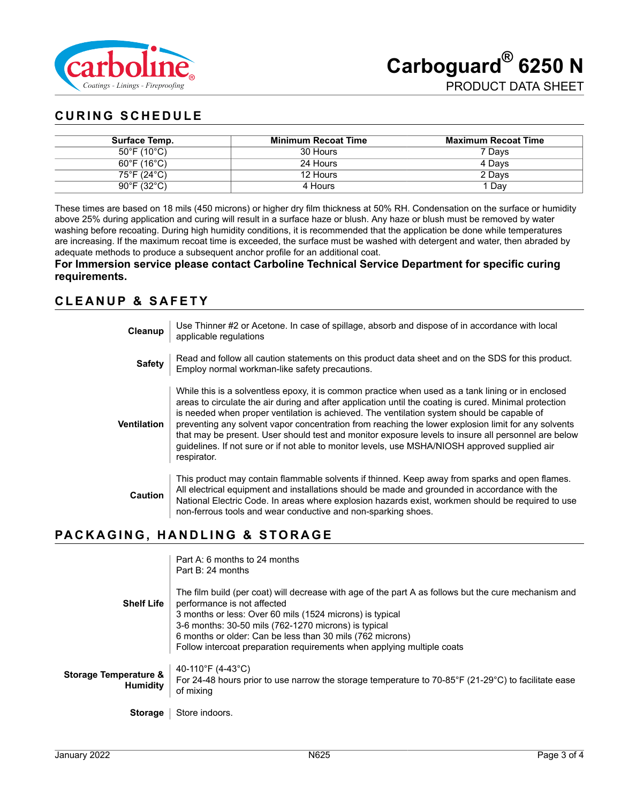

# **CURING SCHEDULE**

| Surface Temp.                    | <b>Minimum Recoat Time</b> | <b>Maximum Recoat Time</b> |
|----------------------------------|----------------------------|----------------------------|
| $50^{\circ}$ F (10 $^{\circ}$ C) | 30 Hours                   | 7 Davs                     |
| $60^{\circ}$ F (16 $^{\circ}$ C) | 24 Hours                   | 4 Davs                     |
| 75°F (24°C)                      | 12 Hours                   | 2 Days                     |
| $90^{\circ}$ F (32 $^{\circ}$ C) | 4 Hours                    | 1 Dav                      |

These times are based on 18 mils (450 microns) or higher dry film thickness at 50% RH. Condensation on the surface or humidity above 25% during application and curing will result in a surface haze or blush. Any haze or blush must be removed by water washing before recoating. During high humidity conditions, it is recommended that the application be done while temperatures are increasing. If the maximum recoat time is exceeded, the surface must be washed with detergent and water, then abraded by adequate methods to produce a subsequent anchor profile for an additional coat.

#### **For Immersion service please contact Carboline Technical Service Department for specific curing requirements.**

## **CLEANUP & SAFETY**

| Cleanup            | Use Thinner #2 or Acetone. In case of spillage, absorb and dispose of in accordance with local<br>applicable regulations                                                                                                                                                                                                                                                                                                                                                                                                                                                                                                                  |
|--------------------|-------------------------------------------------------------------------------------------------------------------------------------------------------------------------------------------------------------------------------------------------------------------------------------------------------------------------------------------------------------------------------------------------------------------------------------------------------------------------------------------------------------------------------------------------------------------------------------------------------------------------------------------|
| <b>Safety</b>      | Read and follow all caution statements on this product data sheet and on the SDS for this product.<br>Employ normal workman-like safety precautions.                                                                                                                                                                                                                                                                                                                                                                                                                                                                                      |
| <b>Ventilation</b> | While this is a solventless epoxy, it is common practice when used as a tank lining or in enclosed<br>areas to circulate the air during and after application until the coating is cured. Minimal protection<br>is needed when proper ventilation is achieved. The ventilation system should be capable of<br>preventing any solvent vapor concentration from reaching the lower explosion limit for any solvents<br>that may be present. User should test and monitor exposure levels to insure all personnel are below<br>guidelines. If not sure or if not able to monitor levels, use MSHA/NIOSH approved supplied air<br>respirator. |
| Caution            | This product may contain flammable solvents if thinned. Keep away from sparks and open flames.<br>All electrical equipment and installations should be made and grounded in accordance with the<br>National Electric Code. In areas where explosion hazards exist, workmen should be required to use<br>non-ferrous tools and wear conductive and non-sparking shoes.                                                                                                                                                                                                                                                                     |

# **PACKAGING, HANDLING & STORAGE**

| <b>Shelf Life</b>                                   | Part A: 6 months to 24 months<br>Part B: 24 months<br>The film build (per coat) will decrease with age of the part A as follows but the cure mechanism and<br>performance is not affected<br>3 months or less: Over 60 mils (1524 microns) is typical<br>3-6 months: 30-50 mils (762-1270 microns) is typical<br>6 months or older: Can be less than 30 mils (762 microns)<br>Follow intercoat preparation requirements when applying multiple coats |
|-----------------------------------------------------|------------------------------------------------------------------------------------------------------------------------------------------------------------------------------------------------------------------------------------------------------------------------------------------------------------------------------------------------------------------------------------------------------------------------------------------------------|
| <b>Storage Temperature &amp;</b><br><b>Humidity</b> | 40-110°F (4-43°C)<br>For 24-48 hours prior to use narrow the storage temperature to 70-85°F (21-29°C) to facilitate ease<br>of mixing                                                                                                                                                                                                                                                                                                                |
| <b>Storage</b>                                      | Store indoors.                                                                                                                                                                                                                                                                                                                                                                                                                                       |